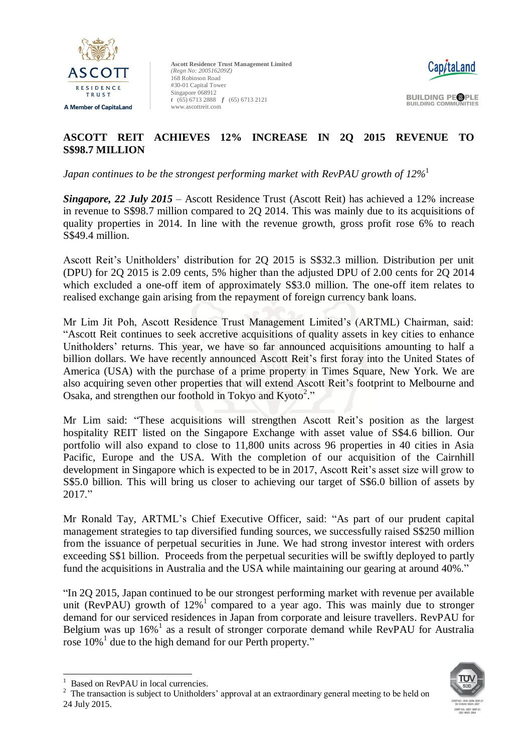



**BUILDING PEOPLE BUILDING COMMUNITIES** 

# **ASCOTT REIT ACHIEVES 12% INCREASE IN 2Q 2015 REVENUE TO S\$98.7 MILLION**

*Japan continues to be the strongest performing market with RevPAU growth of 12%* 1

*Singapore, 22 July 2015* – Ascott Residence Trust (Ascott Reit) has achieved a 12% increase in revenue to S\$98.7 million compared to 2Q 2014. This was mainly due to its acquisitions of quality properties in 2014. In line with the revenue growth, gross profit rose 6% to reach S\$49.4 million.

Ascott Reit's Unitholders' distribution for 2Q 2015 is S\$32.3 million. Distribution per unit (DPU) for 2Q 2015 is 2.09 cents, 5% higher than the adjusted DPU of 2.00 cents for 2Q 2014 which excluded a one-off item of approximately S\$3.0 million. The one-off item relates to realised exchange gain arising from the repayment of foreign currency bank loans.

Mr Lim Jit Poh, Ascott Residence Trust Management Limited's (ARTML) Chairman, said: "Ascott Reit continues to seek accretive acquisitions of quality assets in key cities to enhance Unitholders' returns. This year, we have so far announced acquisitions amounting to half a billion dollars. We have recently announced Ascott Reit's first foray into the United States of America (USA) with the purchase of a prime property in Times Square, New York. We are also acquiring seven other properties that will extend Ascott Reit's footprint to Melbourne and Osaka, and strengthen our foothold in Tokyo and Kyoto<sup>2</sup>."

Mr Lim said: "These acquisitions will strengthen Ascott Reit's position as the largest hospitality REIT listed on the Singapore Exchange with asset value of S\$4.6 billion. Our portfolio will also expand to close to 11,800 units across 96 properties in 40 cities in Asia Pacific, Europe and the USA. With the completion of our acquisition of the Cairnhill development in Singapore which is expected to be in 2017, Ascott Reit's asset size will grow to S\$5.0 billion. This will bring us closer to achieving our target of S\$6.0 billion of assets by 2017."

Mr Ronald Tay, ARTML's Chief Executive Officer, said: "As part of our prudent capital management strategies to tap diversified funding sources, we successfully raised S\$250 million from the issuance of perpetual securities in June. We had strong investor interest with orders exceeding S\$1 billion. Proceeds from the perpetual securities will be swiftly deployed to partly fund the acquisitions in Australia and the USA while maintaining our gearing at around 40%."

"In 2Q 2015, Japan continued to be our strongest performing market with revenue per available unit (RevPAU) growth of  $12\%$ <sup>1</sup> compared to a year ago. This was mainly due to stronger demand for our serviced residences in Japan from corporate and leisure travellers. RevPAU for Belgium was up  $16\%$ <sup>1</sup> as a result of stronger corporate demand while RevPAU for Australia rose 10%<sup>1</sup> due to the high demand for our Perth property."

-

 $2$  The transaction is subject to Unitholders' approval at an extraordinary general meeting to be held on 24 July 2015.



<sup>&</sup>lt;sup>1</sup> Based on RevPAU in local currencies.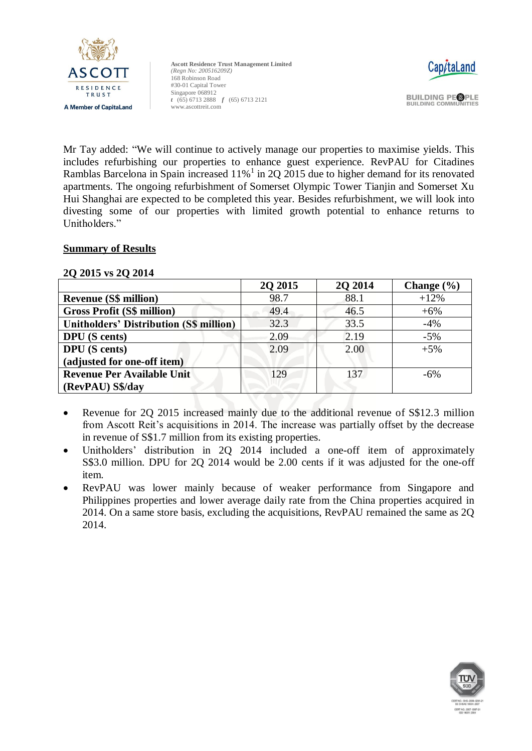



**BUILDING PEOPLE BUILDING COMMUNITIES** 

Mr Tay added: "We will continue to actively manage our properties to maximise yields. This includes refurbishing our properties to enhance guest experience. RevPAU for Citadines Ramblas Barcelona in Spain increased  $11\%$ <sup>1</sup> in 2Q 2015 due to higher demand for its renovated apartments. The ongoing refurbishment of Somerset Olympic Tower Tianjin and Somerset Xu Hui Shanghai are expected to be completed this year. Besides refurbishment, we will look into divesting some of our properties with limited growth potential to enhance returns to Unitholders."

# **Summary of Results**

#### **2Q 2015 vs 2Q 2014**

|                                                | 2Q 2015 | 2Q 2014 | Change $(\% )$ |
|------------------------------------------------|---------|---------|----------------|
| <b>Revenue (S\$ million)</b>                   | 98.7    | 88.1    | $+12%$         |
| <b>Gross Profit (S\$ million)</b>              | 49.4    | 46.5    | $+6%$          |
| <b>Unitholders' Distribution (S\$ million)</b> | 32.3    | 33.5    | $-4%$          |
| <b>DPU</b> (S cents)                           | 2.09    | 2.19    | $-5%$          |
| <b>DPU</b> (S cents)                           | 2.09    | 2.00    | $+5%$          |
| (adjusted for one-off item)                    |         |         |                |
| <b>Revenue Per Available Unit</b>              | 129     | 137     | $-6\%$         |
| (RevPAU) S\$/day                               |         |         |                |

- Revenue for 2Q 2015 increased mainly due to the additional revenue of S\$12.3 million from Ascott Reit's acquisitions in 2014. The increase was partially offset by the decrease in revenue of S\$1.7 million from its existing properties.
- Unitholders' distribution in 2Q 2014 included a one-off item of approximately S\$3.0 million. DPU for 2Q 2014 would be 2.00 cents if it was adjusted for the one-off item.
- RevPAU was lower mainly because of weaker performance from Singapore and Philippines properties and lower average daily rate from the China properties acquired in 2014. On a same store basis, excluding the acquisitions, RevPAU remained the same as 2Q 2014.

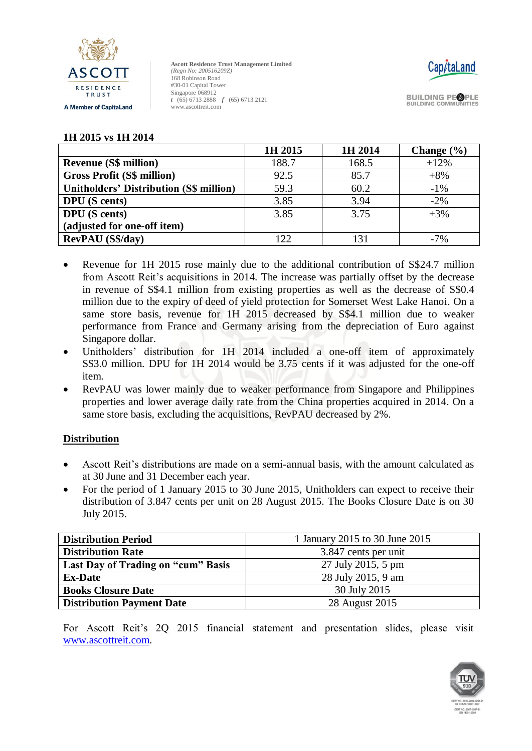



**BUILDING PEOPLE BUILDING COMMUNITIES** 

#### **1H 2015 vs 1H 2014**

|                                                | 1H 2015 | 1H 2014 | Change $(\% )$ |
|------------------------------------------------|---------|---------|----------------|
| <b>Revenue (S\$ million)</b>                   | 188.7   | 168.5   | $+12%$         |
| <b>Gross Profit (S\$ million)</b>              | 92.5    | 85.7    | $+8%$          |
| <b>Unitholders' Distribution (S\$ million)</b> | 59.3    | 60.2    | $-1\%$         |
| <b>DPU</b> (S cents)                           | 3.85    | 3.94    | $-2\%$         |
| <b>DPU</b> (S cents)                           | 3.85    | 3.75    | $+3\%$         |
| (adjusted for one-off item)                    |         |         |                |
| <b>RevPAU</b> (S\$/day)                        | 122     |         | $-7%$          |

- Revenue for 1H 2015 rose mainly due to the additional contribution of S\$24.7 million from Ascott Reit's acquisitions in 2014. The increase was partially offset by the decrease in revenue of S\$4.1 million from existing properties as well as the decrease of S\$0.4 million due to the expiry of deed of yield protection for Somerset West Lake Hanoi. On a same store basis, revenue for 1H 2015 decreased by S\$4.1 million due to weaker performance from France and Germany arising from the depreciation of Euro against Singapore dollar.
- Unitholders' distribution for 1H 2014 included a one-off item of approximately S\$3.0 million. DPU for 1H 2014 would be 3.75 cents if it was adjusted for the one-off item.
- RevPAU was lower mainly due to weaker performance from Singapore and Philippines properties and lower average daily rate from the China properties acquired in 2014. On a same store basis, excluding the acquisitions, RevPAU decreased by 2%.

# **Distribution**

- Ascott Reit's distributions are made on a semi-annual basis, with the amount calculated as at 30 June and 31 December each year.
- For the period of 1 January 2015 to 30 June 2015, Unitholders can expect to receive their distribution of 3.847 cents per unit on 28 August 2015. The Books Closure Date is on 30 July 2015.

| <b>Distribution Period</b>         | 1 January 2015 to 30 June 2015 |  |
|------------------------------------|--------------------------------|--|
| <b>Distribution Rate</b>           | 3.847 cents per unit           |  |
| Last Day of Trading on "cum" Basis | 27 July 2015, 5 pm             |  |
| <b>Ex-Date</b>                     | 28 July 2015, 9 am             |  |
| <b>Books Closure Date</b>          | 30 July 2015                   |  |
| <b>Distribution Payment Date</b>   | 28 August 2015                 |  |

For Ascott Reit's 2Q 2015 financial statement and presentation slides, please visit [www.ascottreit.com.](http://www.ascottreit.com/)

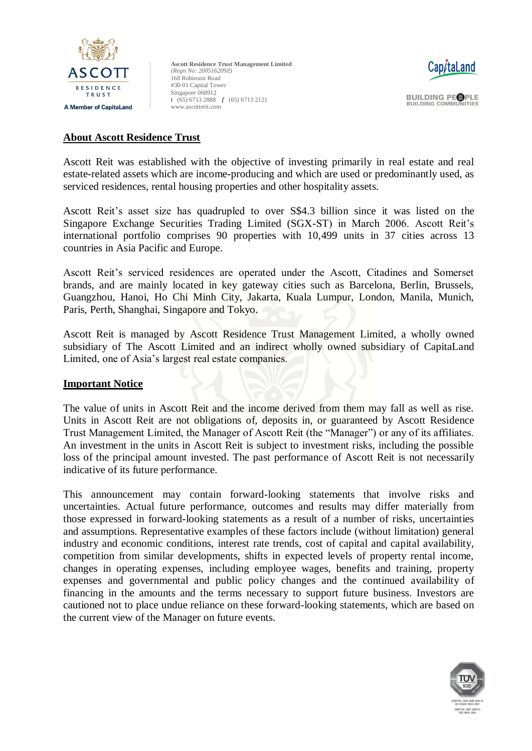



**BUILDING PEOPLE BUILDING COMMUNITIES** 

### **About Ascott Residence Trust**

Ascott Reit was established with the objective of investing primarily in real estate and real estate-related assets which are income-producing and which are used or predominantly used, as serviced residences, rental housing properties and other hospitality assets.

Ascott Reit's asset size has quadrupled to over S\$4.3 billion since it was listed on the Singapore Exchange Securities Trading Limited (SGX-ST) in March 2006. Ascott Reit's international portfolio comprises 90 properties with 10,499 units in 37 cities across 13 countries in Asia Pacific and Europe.

Ascott Reit's serviced residences are operated under the Ascott, Citadines and Somerset brands, and are mainly located in key gateway cities such as Barcelona, Berlin, Brussels, Guangzhou, Hanoi, Ho Chi Minh City, Jakarta, Kuala Lumpur, London, Manila, Munich, Paris, Perth, Shanghai, Singapore and Tokyo.

Ascott Reit is managed by Ascott Residence Trust Management Limited, a wholly owned subsidiary of The Ascott Limited and an indirect wholly owned subsidiary of CapitaLand Limited, one of Asia's largest real estate companies.

#### **Important Notice**

The value of units in Ascott Reit and the income derived from them may fall as well as rise. Units in Ascott Reit are not obligations of, deposits in, or guaranteed by Ascott Residence Trust Management Limited, the Manager of Ascott Reit (the "Manager") or any of its affiliates. An investment in the units in Ascott Reit is subject to investment risks, including the possible loss of the principal amount invested. The past performance of Ascott Reit is not necessarily indicative of its future performance.

This announcement may contain forward-looking statements that involve risks and uncertainties. Actual future performance, outcomes and results may differ materially from those expressed in forward-looking statements as a result of a number of risks, uncertainties and assumptions. Representative examples of these factors include (without limitation) general industry and economic conditions, interest rate trends, cost of capital and capital availability, competition from similar developments, shifts in expected levels of property rental income, changes in operating expenses, including employee wages, benefits and training, property expenses and governmental and public policy changes and the continued availability of financing in the amounts and the terms necessary to support future business. Investors are cautioned not to place undue reliance on these forward-looking statements, which are based on the current view of the Manager on future events.